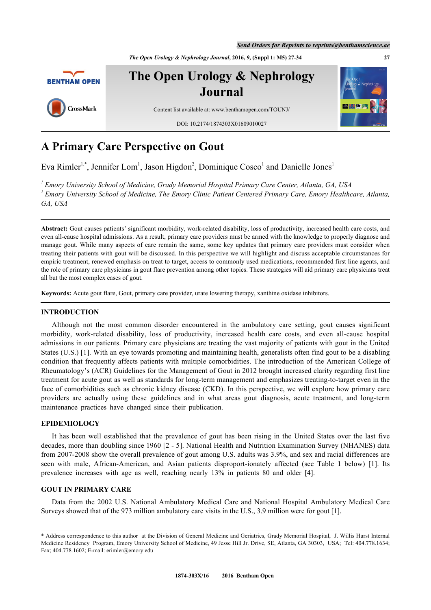*Send Orders for Reprints to reprints@benthamscience.ae*

*The Open Urology & Nephrology Journal***, 2016,** *9***, (Suppl 1: M5) 27-34 27**



# **A Primary Care Perspective on Gout**

Eva Rimler<sup>[1,](#page-0-0)[\\*](#page-0-1)</sup>, Jennifer Lom<sup>[1](#page-0-0)</sup>, Jason Higdon<sup>[2](#page-0-2)</sup>, Dominique Cosco<sup>1</sup> and Danielle Jones<sup>1</sup>

<span id="page-0-2"></span><span id="page-0-0"></span>*1 Emory University School of Medicine, Grady Memorial Hospital Primary Care Center, Atlanta, GA, USA 2 Emory University School of Medicine, The Emory Clinic Patient Centered Primary Care, Emory Healthcare, Atlanta, GA, USA*

**Abstract:** Gout causes patients' significant morbidity, work-related disability, loss of productivity, increased health care costs, and even all-cause hospital admissions. As a result, primary care providers must be armed with the knowledge to properly diagnose and manage gout. While many aspects of care remain the same, some key updates that primary care providers must consider when treating their patients with gout will be discussed. In this perspective we will highlight and discuss acceptable circumstances for empiric treatment, renewed emphasis on treat to target, access to commonly used medications, recommended first line agents, and the role of primary care physicians in gout flare prevention among other topics. These strategies will aid primary care physicians treat all but the most complex cases of gout.

**Keywords:** Acute gout flare, Gout, primary care provider, urate lowering therapy, xanthine oxidase inhibitors.

### **INTRODUCTION**

Although not the most common disorder encountered in the ambulatory care setting, gout causes significant morbidity, work-related disability, loss of productivity, increased health care costs, and even all-cause hospital admissions in our patients. Primary care physicians are treating the vast majority of patients with gout in the United States (U.S.) [[1](#page-6-0)]. With an eye towards promoting and maintaining health, generalists often find gout to be a disabling condition that frequently affects patients with multiple comorbidities. The introduction of the American College of Rheumatology's (ACR) Guidelines for the Management of Gout in 2012 brought increased clarity regarding first line treatment for acute gout as well as standards for long-term management and emphasizes treating-to-target even in the face of comorbidities such as chronic kidney disease (CKD). In this perspective, we will explore how primary care providers are actually using these guidelines and in what areas gout diagnosis, acute treatment, and long-term maintenance practices have changed since their publication.

# **EPIDEMIOLOGY**

It has been well established that the prevalence of gout has been rising in the United States over the last five decades, more than doubling since 1960 [[2](#page-6-1) - [5](#page-6-2)]. National Health and Nutrition Examination Survey (NHANES) data from 2007-2008 show the overall prevalence of gout among U.S. adults was 3.9%, and sex and racial differences are seen with male, African-American, and Asian patients disproport-ionately affected (see Table**1** below)[[1\]](#page-6-0). Its prevalence increases with age as well, reaching nearly 13% in patients 80 and older [\[4](#page-6-3)].

# **GOUT IN PRIMARY CARE**

Data from the 2002 U.S. National Ambulatory Medical Care and National Hospital Ambulatory Medical Care Surveys showed that of the 973 million ambulatory care visits in the U.S., 3.9 million were for gout [\[1](#page-6-0)].

<span id="page-0-1"></span><sup>\*</sup> Address correspondence to this author at the Division of General Medicine and Geriatrics, Grady Memorial Hospital, J. Willis Hurst Internal Medicine Residency Program, Emory University School of Medicine, 49 Jesse Hill Jr. Drive, SE, Atlanta, GA 30303, USA; Tel: 404.778.1634; Fax; 404.778.1602; E-mail: [erimler@emory.edu](mailto:erimler@emory.edu)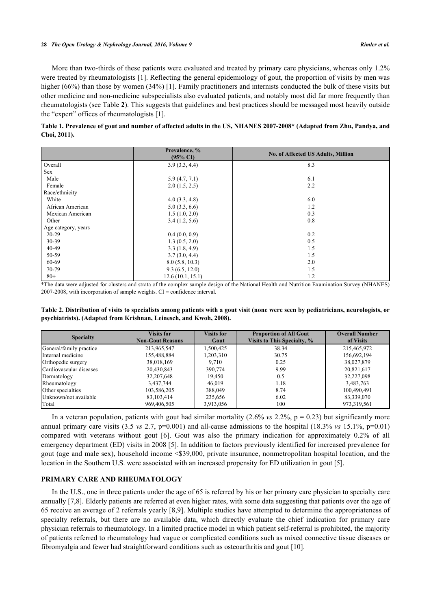More than two-thirds of these patients were evaluated and treated by primary care physicians, whereas only 1.2% were treated by rheumatologists [[1\]](#page-6-0). Reflecting the general epidemiology of gout, the proportion of visits by men was higher (66%) than those by women (34%) [[1](#page-6-0)]. Family practitioners and internists conducted the bulk of these visits but other medicine and non-medicine subspecialists also evaluated patients, and notably most did far more frequently than rheumatologists (see Table **[2](#page-1-1)**). This suggests that guidelines and best practices should be messaged most heavily outside the "expert" offices of rheumatologists [\[1](#page-6-0)].

<span id="page-1-0"></span>

| Table 1. Prevalence of gout and number of affected adults in the US, NHANES 2007-2008* (Adapted from Zhu, Pandya, and |  |  |
|-----------------------------------------------------------------------------------------------------------------------|--|--|
| Choi, 2011).                                                                                                          |  |  |

|                     | Prevalence, %<br>$(95\% \text{ C}I)$ | <b>No. of Affected US Adults, Million</b> |  |
|---------------------|--------------------------------------|-------------------------------------------|--|
| Overall             | 3.9(3.3, 4.4)                        | 8.3                                       |  |
| <b>Sex</b>          |                                      |                                           |  |
| Male                | 5.9(4.7, 7.1)                        | 6.1                                       |  |
| Female              | 2.0(1.5, 2.5)                        | 2.2                                       |  |
| Race/ethnicity      |                                      |                                           |  |
| White               | 4.0(3.3, 4.8)                        | 6.0                                       |  |
| African American    | 5.0(3.3, 6.6)                        | 1.2                                       |  |
| Mexican American    | 1.5(1.0, 2.0)                        | 0.3                                       |  |
| Other               | 3.4(1.2, 5.6)                        | 0.8                                       |  |
| Age category, years |                                      |                                           |  |
| $20 - 29$           | 0.4(0.0, 0.9)                        | 0.2                                       |  |
| 30-39               | 1.3(0.5, 2.0)                        | 0.5                                       |  |
| $40 - 49$           | 3.3(1.8, 4.9)                        | 1.5                                       |  |
| 50-59               | 3.7(3.0, 4.4)                        | 1.5                                       |  |
| 60-69               | 8.0(5.8, 10.3)                       | 2.0                                       |  |
| 70-79               | 9.3(6.5, 12.0)                       | 1.5                                       |  |
| $80 +$              | 12.6(10.1, 15.1)                     | 1.2                                       |  |

\*The data were adjusted for clusters and strata of the complex sample design of the National Health and Nutrition Examination Survey (NHANES) 2007-2008, with incorporation of sample weights. CI = confidence interval.

<span id="page-1-1"></span>**Table 2. Distribution of visits to specialists among patients with a gout visit (none were seen by pediatricians, neurologists, or psychiatrists). (Adapted from Krishnan, Leinesch, and Kwoh, 2008).**

| <b>Specialty</b>        | <b>Visits for</b><br><b>Non-Gout Reasons</b> | <b>Visits for</b><br>Gout | <b>Proportion of All Gout</b><br><b>Visits to This Specialty, %</b> | <b>Overall Number</b><br>of Visits |
|-------------------------|----------------------------------------------|---------------------------|---------------------------------------------------------------------|------------------------------------|
| General/family practice | 213,965,547                                  | 1,500,425                 | 38.34                                                               | 215,465,972                        |
| Internal medicine       | 155,488,884                                  | 1,203,310                 | 30.75                                                               | 156,692,194                        |
| Orthopedic surgery      | 38,018,169                                   | 9.710                     | 0.25                                                                | 38,027,879                         |
| Cardiovascular diseases | 20,430,843                                   | 390,774                   | 9.99                                                                | 20,821,617                         |
| Dermatology             | 32, 207, 648                                 | 19.450                    | 0.5                                                                 | 32,227,098                         |
| Rheumatology            | 3,437,744                                    | 46.019                    | 1.18                                                                | 3,483,763                          |
| Other specialties       | 103,586,205                                  | 388,049                   | 8.74                                                                | 100,490,491                        |
| Unknown/not available   | 83, 103, 414                                 | 235,656                   | 6.02                                                                | 83,339,070                         |
| Total                   | 969,406,505                                  | 3,913,056                 | 100                                                                 | 973, 319, 561                      |

In a veteran population, patients with gout had similar mortality  $(2.6\% \text{ vs } 2.2\%, p = 0.23)$  but significantly more annual primary care visits  $(3.5 \text{ vs } 2.7, \text{p}=0.001)$  and all-cause admissions to the hospital  $(18.3\% \text{ vs } 15.1\%, \text{p}=0.01)$ compared with veterans without gout[[6\]](#page-6-4). Gout was also the primary indication for approximately 0.2% of all emergency department (ED) visits in 2008 [[5](#page-6-2)]. In addition to factors previously identified for increased prevalence for gout (age and male sex), household income <\$39,000, private insurance, nonmetropolitan hospital location, and the location in the Southern U.S. were associated with an increased propensity for ED utilization in gout [[5\]](#page-6-2).

# **PRIMARY CARE AND RHEUMATOLOGY**

In the U.S., one in three patients under the age of 65 is referred by his or her primary care physician to specialty care annually [\[7](#page-6-5),[8\]](#page-6-6). Elderly patients are referred at even higher rates, with some data suggesting that patients over the age of 65 receive an average of 2 referrals yearly [\[8](#page-6-6),[9](#page-6-7)]. Multiple studies have attempted to determine the appropriateness of specialty referrals, but there are no available data, which directly evaluate the chief indication for primary care physician referrals to rheumatology. In a limited practice model in which patient self-referral is prohibited, the majority of patients referred to rheumatology had vague or complicated conditions such as mixed connective tissue diseases or fibromyalgia and fewer had straightforward conditions such as osteoarthritis and gout [\[10](#page-6-8)].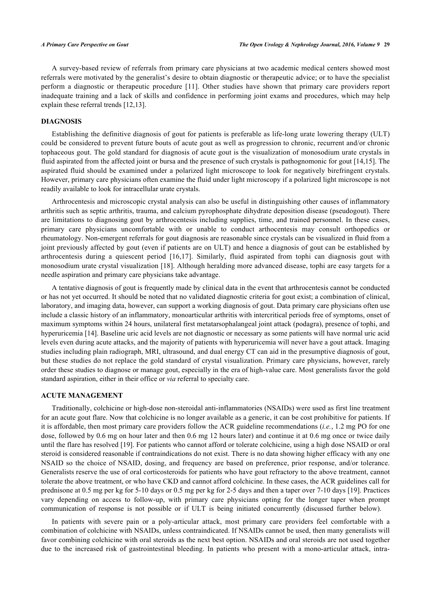A survey-based review of referrals from primary care physicians at two academic medical centers showed most referrals were motivated by the generalist's desire to obtain diagnostic or therapeutic advice; or to have the specialist perform a diagnostic or therapeutic procedure[[11\]](#page-6-9). Other studies have shown that primary care providers report inadequate training and a lack of skills and confidence in performing joint exams and procedures, which may help explain these referral trends [[12](#page-6-10)[,13](#page-6-11)].

#### **DIAGNOSIS**

Establishing the definitive diagnosis of gout for patients is preferable as life-long urate lowering therapy (ULT) could be considered to prevent future bouts of acute gout as well as progression to chronic, recurrent and/or chronic tophaceous gout. The gold standard for diagnosis of acute gout is the visualization of monosodium urate crystals in fluid aspirated from the affected joint or bursa and the presence of such crystals is pathognomonic for gout [[14](#page-6-12),[15\]](#page-6-13). The aspirated fluid should be examined under a polarized light microscope to look for negatively birefringent crystals. However, primary care physicians often examine the fluid under light microscopy if a polarized light microscope is not readily available to look for intracellular urate crystals.

Arthrocentesis and microscopic crystal analysis can also be useful in distinguishing other causes of inflammatory arthritis such as septic arthritis, trauma, and calcium pyrophosphate dihydrate deposition disease (pseudogout). There are limitations to diagnosing gout by arthrocentesis including supplies, time, and trained personnel. In these cases, primary care physicians uncomfortable with or unable to conduct arthocentesis may consult orthopedics or rheumatology. Non-emergent referrals for gout diagnosis are reasonable since crystals can be visualized in fluid from a joint previously affected by gout (even if patients are on ULT) and hence a diagnosis of gout can be established by arthrocentesis during a quiescent period[[16](#page-7-0),[17\]](#page-7-1). Similarly, fluid aspirated from tophi can diagnosis gout with monosodium urate crystal visualization [\[18\]](#page-7-2). Although heralding more advanced disease, tophi are easy targets for a needle aspiration and primary care physicians take advantage.

A tentative diagnosis of gout is frequently made by clinical data in the event that arthrocentesis cannot be conducted or has not yet occurred. It should be noted that no validated diagnostic criteria for gout exist; a combination of clinical, laboratory, and imaging data, however, can support a working diagnosis of gout. Data primary care physicians often use include a classic history of an inflammatory, monoarticular arthritis with intercritical periods free of symptoms, onset of maximum symptoms within 24 hours, unilateral first metatarsophalangeal joint attack (podagra), presence of tophi, and hyperuricemia [\[14](#page-6-12)]. Baseline uric acid levels are not diagnostic or necessary as some patients will have normal uric acid levels even during acute attacks, and the majority of patients with hyperuricemia will never have a gout attack. Imaging studies including plain radiograph, MRI, ultrasound, and dual energy CT can aid in the presumptive diagnosis of gout, but these studies do not replace the gold standard of crystal visualization. Primary care physicians, however, rarely order these studies to diagnose or manage gout, especially in the era of high-value care. Most generalists favor the gold standard aspiration, either in their office or *via* referral to specialty care.

# **ACUTE MANAGEMENT**

Traditionally, colchicine or high-dose non-steroidal anti-inflammatories (NSAIDs) were used as first line treatment for an acute gout flare. Now that colchicine is no longer available as a generic, it can be cost prohibitive for patients. If it is affordable, then most primary care providers follow the ACR guideline recommendations (*i.e.*, 1.2 mg PO for one dose, followed by 0.6 mg on hour later and then 0.6 mg 12 hours later) and continue it at 0.6 mg once or twice daily until the flare has resolved [[19\]](#page-7-3). For patients who cannot afford or tolerate colchicine, using a high dose NSAID or oral steroid is considered reasonable if contraindications do not exist. There is no data showing higher efficacy with any one NSAID so the choice of NSAID, dosing, and frequency are based on preference, prior response, and/or tolerance. Generalists reserve the use of oral corticosteroids for patients who have gout refractory to the above treatment, cannot tolerate the above treatment, or who have CKD and cannot afford colchicine. In these cases, the ACR guidelines call for prednisone at 0.5 mg per kg for 5-10 days or 0.5 mg per kg for 2-5 days and then a taper over 7-10 days [[19\]](#page-7-3). Practices vary depending on access to follow-up, with primary care physicians opting for the longer taper when prompt communication of response is not possible or if ULT is being initiated concurrently (discussed further below).

In patients with severe pain or a poly-articular attack, most primary care providers feel comfortable with a combination of colchicine with NSAIDs, unless contraindicated. If NSAIDs cannot be used, then many generalists will favor combining colchicine with oral steroids as the next best option. NSAIDs and oral steroids are not used together due to the increased risk of gastrointestinal bleeding. In patients who present with a mono-articular attack, intra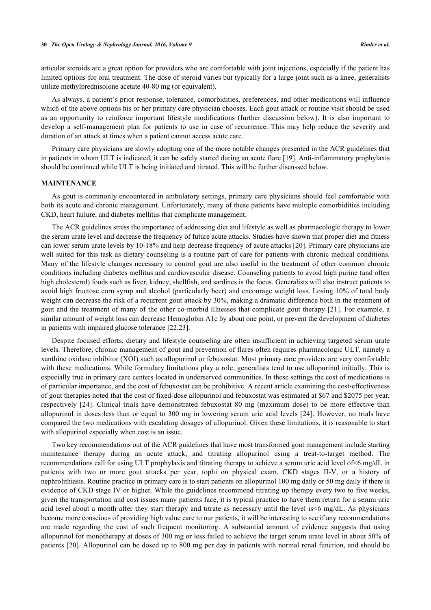articular steroids are a great option for providers who are comfortable with joint injections, especially if the patient has limited options for oral treatment. The dose of steroid varies but typically for a large joint such as a knee, generalists utilize methylprednisolone acetate 40-80 mg (or equivalent).

As always, a patient's prior response, tolerance, comorbidities, preferences, and other medications will influence which of the above options his or her primary care physician chooses. Each gout attack or routine visit should be used as an opportunity to reinforce important lifestyle modifications (further discussion below). It is also important to develop a self-management plan for patients to use in case of recurrence. This may help reduce the severity and duration of an attack at times when a patient cannot access acute care.

Primary care physicians are slowly adopting one of the more notable changes presented in the ACR guidelines that in patients in whom ULT is indicated, it can be safely started during an acute flare [\[19](#page-7-3)]. Anti-inflammatory prophylaxis should be continued while ULT is being initiated and titrated. This will be further discussed below.

#### **MAINTENANCE**

As gout is commonly encountered in ambulatory settings, primary care physicians should feel comfortable with both its acute and chronic management. Unfortunately, many of these patients have multiple comorbidities including CKD, heart failure, and diabetes mellitus that complicate management.

The ACR guidelines stress the importance of addressing diet and lifestyle as well as pharmacologic therapy to lower the serum urate level and decrease the frequency of future acute attacks. Studies have shown that proper diet and fitness can lower serum urate levels by 10-18% and help decrease frequency of acute attacks [\[20](#page-7-4)]. Primary care physicians are well suited for this task as dietary counseling is a routine part of care for patients with chronic medical conditions. Many of the lifestyle changes necessary to control gout are also useful in the treatment of other common chronic conditions including diabetes mellitus and cardiovascular disease. Counseling patients to avoid high purine (and often high cholesterol) foods such as liver, kidney, shellfish, and sardines is the focus. Generalists will also instruct patients to avoid high fructose corn syrup and alcohol (particularly beer) and encourage weight loss. Losing 10% of total body weight can decrease the risk of a recurrent gout attack by 30%, making a dramatic difference both in the treatment of gout and the treatment of many of the other co-morbid illnesses that complicate gout therapy [[21](#page-7-5)]. For example, a similar amount of weight loss can decrease Hemoglobin A1c by about one point, or prevent the development of diabetes in patients with impaired glucose tolerance [\[22](#page-7-6),[23\]](#page-7-7).

Despite focused efforts, dietary and lifestyle counseling are often insufficient in achieving targeted serum urate levels. Therefore, chronic management of gout and prevention of flares often requires pharmacologic ULT, namely a xanthine oxidase inhibitor (XOI) such as allopurinol or febuxostat. Most primary care providers are very comfortable with these medications. While formulary limitations play a role, generalists tend to use allopurinol initially. This is especially true in primary care centers located in underserved communities. In these settings the cost of medications is of particular importance, and the cost of febuxostat can be prohibitive. A recent article examining the cost-effectiveness of gout therapies noted that the cost of fixed-dose allopurinol and febuxostat was estimated at \$67 and \$2075 per year, respectively[[24\]](#page-7-8). Clinical trials have demonstrated febuxostat 80 mg (maximum dose) to be more effective than allopurinol in doses less than or equal to 300 mg in lowering serum uric acid levels [\[24\]](#page-7-8). However, no trials have compared the two medications with escalating dosages of allopurinol. Given these limitations, it is reasonable to start with allopurinol especially when cost is an issue.

Two key recommendations out of the ACR guidelines that have most transformed gout management include starting maintenance therapy during an acute attack, and titrating allopurinol using a treat-to-target method. The recommendations call for using ULT prophylaxis and titrating therapy to achieve a serum uric acid level of<6 mg/dL in patients with two or more gout attacks per year, tophi on physical exam, CKD stages II-V, or a history of nephrolithiasis. Routine practice in primary care is to start patients on allopurinol 100 mg daily or 50 mg daily if there is evidence of CKD stage IV or higher. While the guidelines recommend titrating up therapy every two to five weeks, given the transportation and cost issues many patients face, it is typical practice to have them return for a serum uric acid level about a month after they start therapy and titrate as necessary until the level is<6 mg/dL. As physicians become more conscious of providing high value care to our patients, it will be interesting to see if any recommendations are made regarding the cost of such frequent monitoring. A substantial amount of evidence suggests that using allopurinol for monotherapy at doses of 300 mg or less failed to achieve the target serum urate level in about 50% of patients [\[20](#page-7-4)]. Allopurinol can be dosed up to 800 mg per day in patients with normal renal function, and should be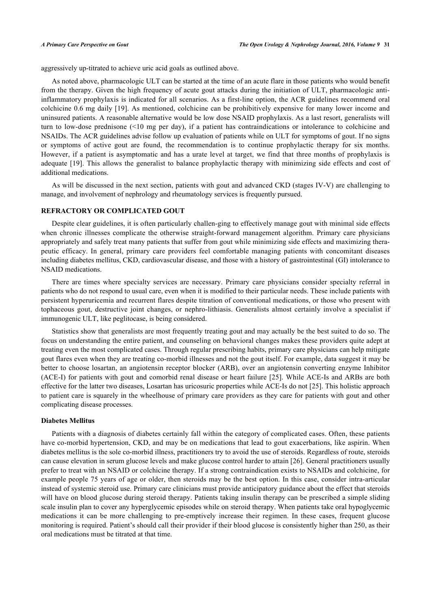aggressively up-titrated to achieve uric acid goals as outlined above.

As noted above, pharmacologic ULT can be started at the time of an acute flare in those patients who would benefit from the therapy. Given the high frequency of acute gout attacks during the initiation of ULT, pharmacologic antiinflammatory prophylaxis is indicated for all scenarios. As a first-line option, the ACR guidelines recommend oral colchicine 0.6 mg daily [\[19](#page-7-3)]. As mentioned, colchicine can be prohibitively expensive for many lower income and uninsured patients. A reasonable alternative would be low dose NSAID prophylaxis. As a last resort, generalists will turn to low-dose prednisone (<10 mg per day), if a patient has contraindications or intolerance to colchicine and NSAIDs. The ACR guidelines advise follow up evaluation of patients while on ULT for symptoms of gout. If no signs or symptoms of active gout are found, the recommendation is to continue prophylactic therapy for six months. However, if a patient is asymptomatic and has a urate level at target, we find that three months of prophylaxis is adequate [\[19](#page-7-3)]. This allows the generalist to balance prophylactic therapy with minimizing side effects and cost of additional medications.

As will be discussed in the next section, patients with gout and advanced CKD (stages IV-V) are challenging to manage, and involvement of nephrology and rheumatology services is frequently pursued.

### **REFRACTORY OR COMPLICATED GOUT**

Despite clear guidelines, it is often particularly challen-ging to effectively manage gout with minimal side effects when chronic illnesses complicate the otherwise straight-forward management algorithm. Primary care physicians appropriately and safely treat many patients that suffer from gout while minimizing side effects and maximizing therapeutic efficacy. In general, primary care providers feel comfortable managing patients with concomitant diseases including diabetes mellitus, CKD, cardiovascular disease, and those with a history of gastrointestinal (GI) intolerance to NSAID medications.

There are times where specialty services are necessary. Primary care physicians consider specialty referral in patients who do not respond to usual care, even when it is modified to their particular needs. These include patients with persistent hyperuricemia and recurrent flares despite titration of conventional medications, or those who present with tophaceous gout, destructive joint changes, or nephro-lithiasis. Generalists almost certainly involve a specialist if immunogenic ULT, like peglitocase, is being considered.

Statistics show that generalists are most frequently treating gout and may actually be the best suited to do so. The focus on understanding the entire patient, and counseling on behavioral changes makes these providers quite adept at treating even the most complicated cases. Through regular prescribing habits, primary care physicians can help mitigate gout flares even when they are treating co-morbid illnesses and not the gout itself. For example, data suggest it may be better to choose losartan, an angiotensin receptor blocker (ARB), over an angiotensin converting enzyme Inhibitor (ACE-I) for patients with gout and comorbid renal disease or heart failure [\[25\]](#page-7-9). While ACE-Is and ARBs are both effective for the latter two diseases, Losartan has uricosuric properties while ACE-Is do not [[25\]](#page-7-9). This holistic approach to patient care is squarely in the wheelhouse of primary care providers as they care for patients with gout and other complicating disease processes.

#### **Diabetes Mellitus**

Patients with a diagnosis of diabetes certainly fall within the category of complicated cases. Often, these patients have co-morbid hypertension, CKD, and may be on medications that lead to gout exacerbations, like aspirin. When diabetes mellitus is the sole co-morbid illness, practitioners try to avoid the use of steroids. Regardless of route, steroids can cause elevation in serum glucose levels and make glucose control harder to attain [[26\]](#page-7-10). General practitioners usually prefer to treat with an NSAID or colchicine therapy. If a strong contraindication exists to NSAIDs and colchicine, for example people 75 years of age or older, then steroids may be the best option. In this case, consider intra-articular instead of systemic steroid use. Primary care clinicians must provide anticipatory guidance about the effect that steroids will have on blood glucose during steroid therapy. Patients taking insulin therapy can be prescribed a simple sliding scale insulin plan to cover any hyperglycemic episodes while on steroid therapy. When patients take oral hypoglycemic medications it can be more challenging to pre-emptively increase their regimen. In these cases, frequent glucose monitoring is required. Patient's should call their provider if their blood glucose is consistently higher than 250, as their oral medications must be titrated at that time.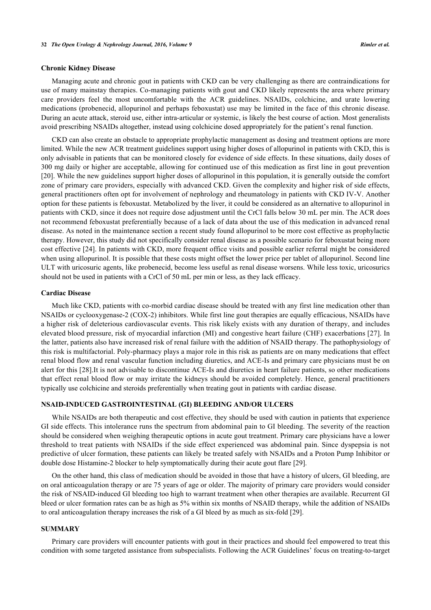#### **Chronic Kidney Disease**

Managing acute and chronic gout in patients with CKD can be very challenging as there are contraindications for use of many mainstay therapies. Co-managing patients with gout and CKD likely represents the area where primary care providers feel the most uncomfortable with the ACR guidelines. NSAIDs, colchicine, and urate lowering medications (probenecid, allopurinol and perhaps feboxustat) use may be limited in the face of this chronic disease. During an acute attack, steroid use, either intra-articular or systemic, is likely the best course of action. Most generalists avoid prescribing NSAIDs altogether, instead using colchicine dosed appropriately for the patient's renal function.

CKD can also create an obstacle to appropriate prophylactic management as dosing and treatment options are more limited. While the new ACR treatment guidelines support using higher doses of allopurinol in patients with CKD, this is only advisable in patients that can be monitored closely for evidence of side effects. In these situations, daily doses of 300 mg daily or higher are acceptable, allowing for continued use of this medication as first line in gout prevention [\[20](#page-7-4)]. While the new guidelines support higher doses of allopurinol in this population, it is generally outside the comfort zone of primary care providers, especially with advanced CKD. Given the complexity and higher risk of side effects, general practitioners often opt for involvement of nephrology and rheumatology in patients with CKD IV-V. Another option for these patients is feboxustat. Metabolized by the liver, it could be considered as an alternative to allopurinol in patients with CKD, since it does not require dose adjustment until the CrCl falls below 30 mL per min. The ACR does not recommend feboxustat preferentially because of a lack of data about the use of this medication in advanced renal disease. As noted in the maintenance section a recent study found allopurinol to be more cost effective as prophylactic therapy. However, this study did not specifically consider renal disease as a possible scenario for feboxustat being more cost effective [[24\]](#page-7-8). In patients with CKD, more frequent office visits and possible earlier referral might be considered when using allopurinol. It is possible that these costs might offset the lower price per tablet of allopurinol. Second line ULT with uricosuric agents, like probenecid, become less useful as renal disease worsens. While less toxic, uricosurics should not be used in patients with a CrCl of 50 mL per min or less, as they lack efficacy.

#### **Cardiac Disease**

Much like CKD, patients with co-morbid cardiac disease should be treated with any first line medication other than NSAIDs or cyclooxygenase-2 (COX-2) inhibitors. While first line gout therapies are equally efficacious, NSAIDs have a higher risk of deleterious cardiovascular events. This risk likely exists with any duration of therapy, and includes elevated blood pressure, risk of myocardial infarction (MI) and congestive heart failure (CHF) exacerbations [[27](#page-7-11)]. In the latter, patients also have increased risk of renal failure with the addition of NSAID therapy. The pathophysiology of this risk is multifactorial. Poly-pharmacy plays a major role in this risk as patients are on many medications that effect renal blood flow and renal vascular function including diuretics, and ACE-Is and primary care physicians must be on alert for this [\[28](#page-7-12)].It is not advisable to discontinue ACE-Is and diuretics in heart failure patients, so other medications that effect renal blood flow or may irritate the kidneys should be avoided completely. Hence, general practitioners typically use colchicine and steroids preferentially when treating gout in patients with cardiac disease.

#### **NSAID-INDUCED GASTROINTESTINAL (GI) BLEEDING AND/OR ULCERS**

While NSAIDs are both therapeutic and cost effective, they should be used with caution in patients that experience GI side effects. This intolerance runs the spectrum from abdominal pain to GI bleeding. The severity of the reaction should be considered when weighing therapeutic options in acute gout treatment. Primary care physicians have a lower threshold to treat patients with NSAIDs if the side effect experienced was abdominal pain. Since dyspepsia is not predictive of ulcer formation, these patients can likely be treated safely with NSAIDs and a Proton Pump Inhibitor or double dose Histamine-2 blocker to help symptomatically during their acute gout flare [\[29](#page-7-13)].

On the other hand, this class of medication should be avoided in those that have a history of ulcers, GI bleeding, are on oral anticoagulation therapy or are 75 years of age or older. The majority of primary care providers would consider the risk of NSAID-induced GI bleeding too high to warrant treatment when other therapies are available. Recurrent GI bleed or ulcer formation rates can be as high as 5% within six months of NSAID therapy, while the addition of NSAIDs to oral anticoagulation therapy increases the risk of a GI bleed by as much as six-fold [[29\]](#page-7-13).

#### **SUMMARY**

Primary care providers will encounter patients with gout in their practices and should feel empowered to treat this condition with some targeted assistance from subspecialists. Following the ACR Guidelines' focus on treating-to-target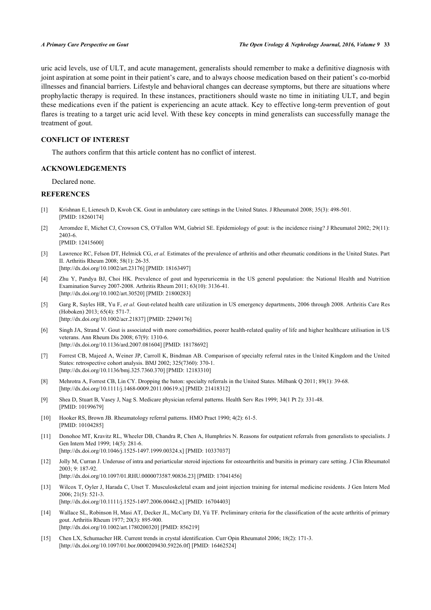uric acid levels, use of ULT, and acute management, generalists should remember to make a definitive diagnosis with joint aspiration at some point in their patient's care, and to always choose medication based on their patient's co-morbid illnesses and financial barriers. Lifestyle and behavioral changes can decrease symptoms, but there are situations where prophylactic therapy is required. In these instances, practitioners should waste no time in initiating ULT, and begin these medications even if the patient is experiencing an acute attack. Key to effective long-term prevention of gout flares is treating to a target uric acid level. With these key concepts in mind generalists can successfully manage the treatment of gout.

# **CONFLICT OF INTEREST**

The authors confirm that this article content has no conflict of interest.

## **ACKNOWLEDGEMENTS**

Declared none.

# **REFERENCES**

- <span id="page-6-0"></span>[1] Krishnan E, Lienesch D, Kwoh CK. Gout in ambulatory care settings in the United States. J Rheumatol 2008; 35(3): 498-501. [PMID: [18260174\]](http://www.ncbi.nlm.nih.gov/pubmed/18260174)
- <span id="page-6-1"></span>[2] Arromdee E, Michet CJ, Crowson CS, O'Fallon WM, Gabriel SE. Epidemiology of gout: is the incidence rising? J Rheumatol 2002; 29(11): 2403-6.
	- [PMID: [12415600\]](http://www.ncbi.nlm.nih.gov/pubmed/12415600)
- [3] Lawrence RC, Felson DT, Helmick CG, *et al.* Estimates of the prevalence of arthritis and other rheumatic conditions in the United States. Part II. Arthritis Rheum 2008; 58(1): 26-35. [\[http://dx.doi.org/10.1002/art.23176](http://dx.doi.org/10.1002/art.23176)] [PMID: [18163497\]](http://www.ncbi.nlm.nih.gov/pubmed/18163497)
- <span id="page-6-3"></span>[4] Zhu Y, Pandya BJ, Choi HK. Prevalence of gout and hyperuricemia in the US general population: the National Health and Nutrition Examination Survey 2007-2008. Arthritis Rheum 2011; 63(10): 3136-41. [\[http://dx.doi.org/10.1002/art.30520](http://dx.doi.org/10.1002/art.30520)] [PMID: [21800283\]](http://www.ncbi.nlm.nih.gov/pubmed/21800283)
- <span id="page-6-2"></span>[5] Garg R, Sayles HR, Yu F, *et al.* Gout-related health care utilization in US emergency departments, 2006 through 2008. Arthritis Care Res (Hoboken) 2013; 65(4): 571-7. [\[http://dx.doi.org/10.1002/acr.21837\]](http://dx.doi.org/10.1002/acr.21837) [PMID: [22949176](http://www.ncbi.nlm.nih.gov/pubmed/22949176)]
- <span id="page-6-4"></span>[6] Singh JA, Strand V. Gout is associated with more comorbidities, poorer health-related quality of life and higher healthcare utilisation in US veterans. Ann Rheum Dis 2008; 67(9): 1310-6. [\[http://dx.doi.org/10.1136/ard.2007.081604](http://dx.doi.org/10.1136/ard.2007.081604)] [PMID: [18178692\]](http://www.ncbi.nlm.nih.gov/pubmed/18178692)
- <span id="page-6-5"></span>[7] Forrest CB, Majeed A, Weiner JP, Carroll K, Bindman AB. Comparison of specialty referral rates in the United Kingdom and the United States: retrospective cohort analysis. BMJ 2002; 325(7360): 370-1. [\[http://dx.doi.org/10.1136/bmj.325.7360.370](http://dx.doi.org/10.1136/bmj.325.7360.370)] [PMID: [12183310\]](http://www.ncbi.nlm.nih.gov/pubmed/12183310)
- <span id="page-6-6"></span>[8] Mehrotra A, Forrest CB, Lin CY. Dropping the baton: specialty referrals in the United States. Milbank Q 2011; 89(1): 39-68. [\[http://dx.doi.org/10.1111/j.1468-0009.2011.00619.x\]](http://dx.doi.org/10.1111/j.1468-0009.2011.00619.x) [PMID: [21418312](http://www.ncbi.nlm.nih.gov/pubmed/21418312)]
- <span id="page-6-7"></span>[9] Shea D, Stuart B, Vasey J, Nag S. Medicare physician referral patterns. Health Serv Res 1999; 34(1 Pt 2): 331-48. [PMID: [10199679\]](http://www.ncbi.nlm.nih.gov/pubmed/10199679)
- <span id="page-6-8"></span>[10] Hooker RS, Brown JB. Rheumatology referral patterns. HMO Pract 1990; 4(2): 61-5. [PMID: [10104285\]](http://www.ncbi.nlm.nih.gov/pubmed/10104285)
- <span id="page-6-9"></span>[11] Donohoe MT, Kravitz RL, Wheeler DB, Chandra R, Chen A, Humphries N. Reasons for outpatient referrals from generalists to specialists. J Gen Intern Med 1999; 14(5): 281-6. [\[http://dx.doi.org/10.1046/j.1525-1497.1999.00324.x\]](http://dx.doi.org/10.1046/j.1525-1497.1999.00324.x) [PMID: [10337037](http://www.ncbi.nlm.nih.gov/pubmed/10337037)]
- <span id="page-6-10"></span>[12] Jolly M, Curran J. Underuse of intra and periarticular steroid injections for osteoarthritis and bursitis in primary care setting. J Clin Rheumatol 2003; 9: 187-92. [\[http://dx.doi.org/10.1097/01.RHU.0000073587.90836.23\]](http://dx.doi.org/10.1097/01.RHU.0000073587.90836.23) [PMID: [17041456](http://www.ncbi.nlm.nih.gov/pubmed/17041456)]
- <span id="page-6-11"></span>[13] Wilcox T, Oyler J, Harada C, Utset T. Musculoskeletal exam and joint injection training for internal medicine residents. J Gen Intern Med 2006; 21(5): 521-3. [\[http://dx.doi.org/10.1111/j.1525-1497.2006.00442.x\]](http://dx.doi.org/10.1111/j.1525-1497.2006.00442.x) [PMID: [16704403](http://www.ncbi.nlm.nih.gov/pubmed/16704403)]
- <span id="page-6-12"></span>[14] Wallace SL, Robinson H, Masi AT, Decker JL, McCarty DJ, Yü TF. Preliminary criteria for the classification of the acute arthritis of primary gout. Arthritis Rheum 1977; 20(3): 895-900. [\[http://dx.doi.org/10.1002/art.1780200320](http://dx.doi.org/10.1002/art.1780200320)] [PMID: [856219\]](http://www.ncbi.nlm.nih.gov/pubmed/856219)
- <span id="page-6-13"></span>[15] Chen LX, Schumacher HR. Current trends in crystal identification. Curr Opin Rheumatol 2006; 18(2): 171-3. [\[http://dx.doi.org/10.1097/01.bor.0000209430.59226.0f](http://dx.doi.org/10.1097/01.bor.0000209430.59226.0f)] [PMID: [16462524\]](http://www.ncbi.nlm.nih.gov/pubmed/16462524)